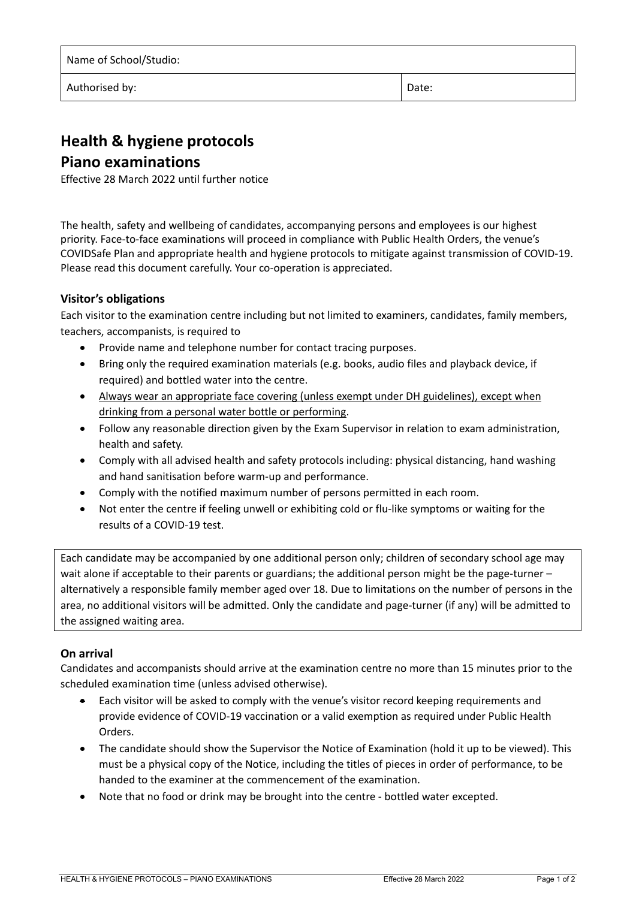| Name of School/Studio: |       |
|------------------------|-------|
| Authorised by:         | Date: |

# **Health & hygiene protocols Piano examinations**

Effective 28 March 2022 until further notice

The health, safety and wellbeing of candidates, accompanying persons and employees is our highest priority. Face‐to‐face examinations will proceed in compliance with Public Health Orders, the venue's COVIDSafe Plan and appropriate health and hygiene protocols to mitigate against transmission of COVID‐19. Please read this document carefully. Your co-operation is appreciated.

## **Visitor's obligations**

Each visitor to the examination centre including but not limited to examiners, candidates, family members, teachers, accompanists, is required to

- Provide name and telephone number for contact tracing purposes.
- Bring only the required examination materials (e.g. books, audio files and playback device, if required) and bottled water into the centre.
- Always wear an appropriate face covering (unless exempt under DH guidelines), except when drinking from a personal water bottle or performing.
- Follow any reasonable direction given by the Exam Supervisor in relation to exam administration, health and safety.
- Comply with all advised health and safety protocols including: physical distancing, hand washing and hand sanitisation before warm‐up and performance.
- Comply with the notified maximum number of persons permitted in each room.
- Not enter the centre if feeling unwell or exhibiting cold or flu-like symptoms or waiting for the results of a COVID‐19 test.

Each candidate may be accompanied by one additional person only; children of secondary school age may wait alone if acceptable to their parents or guardians; the additional person might be the page-turner – alternatively a responsible family member aged over 18. Due to limitations on the number of persons in the area, no additional visitors will be admitted. Only the candidate and page-turner (if any) will be admitted to the assigned waiting area.

### **On arrival**

Candidates and accompanists should arrive at the examination centre no more than 15 minutes prior to the scheduled examination time (unless advised otherwise).

- Each visitor will be asked to comply with the venue's visitor record keeping requirements and provide evidence of COVID‐19 vaccination or a valid exemption as required under Public Health Orders.
- The candidate should show the Supervisor the Notice of Examination (hold it up to be viewed). This must be a physical copy of the Notice, including the titles of pieces in order of performance, to be handed to the examiner at the commencement of the examination.
- Note that no food or drink may be brought into the centre ‐ bottled water excepted.